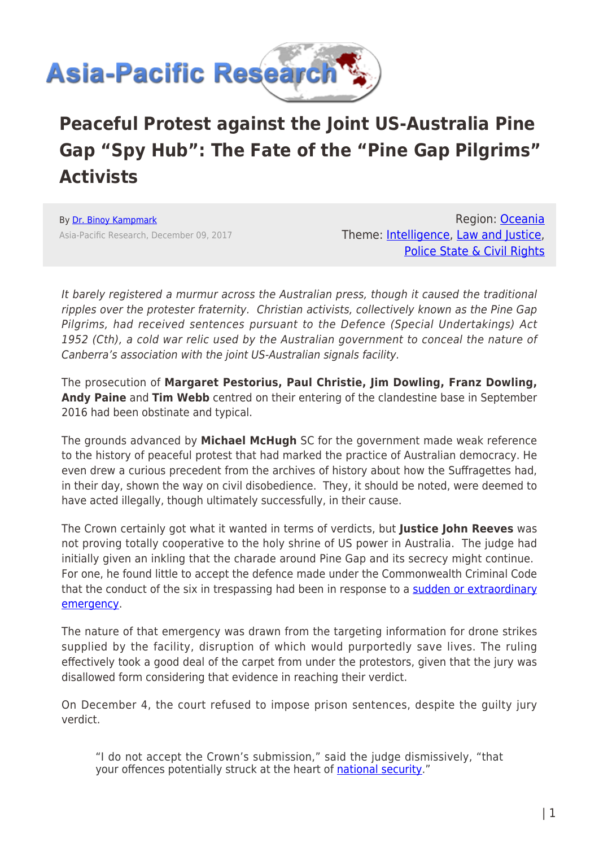

## **Peaceful Protest against the Joint US-Australia Pine Gap "Spy Hub": The Fate of the "Pine Gap Pilgrims" Activists**

By [Dr. Binoy Kampmark](https://www.asia-pacificresearch.com/author/binoy-kampmark) Asia-Pacific Research, December 09, 2017

Region: [Oceania](https://www.asia-pacificresearch.com/region/as-oceania) Theme: [Intelligence](https://www.asia-pacificresearch.com/theme/intelligence-as), [Law and Justice](https://www.asia-pacificresearch.com/theme/law-and-justice-as), [Police State & Civil Rights](https://www.asia-pacificresearch.com/theme/police-state-civil-rights-as)

It barely registered a murmur across the Australian press, though it caused the traditional ripples over the protester fraternity. Christian activists, collectively known as the Pine Gap Pilgrims, had received sentences pursuant to the Defence (Special Undertakings) Act 1952 (Cth), a cold war relic used by the Australian government to conceal the nature of Canberra's association with the joint US-Australian signals facility.

The prosecution of **Margaret Pestorius, Paul Christie, Jim Dowling, Franz Dowling, Andy Paine** and **Tim Webb** centred on their entering of the clandestine base in September 2016 had been obstinate and typical.

The grounds advanced by **Michael McHugh** SC for the government made weak reference to the history of peaceful protest that had marked the practice of Australian democracy. He even drew a curious precedent from the archives of history about how the Suffragettes had, in their day, shown the way on civil disobedience. They, it should be noted, were deemed to have acted illegally, though ultimately successfully, in their cause.

The Crown certainly got what it wanted in terms of verdicts, but **Justice John Reeves** was not proving totally cooperative to the holy shrine of US power in Australia. The judge had initially given an inkling that the charade around Pine Gap and its secrecy might continue. For one, he found little to accept the defence made under the Commonwealth Criminal Code that the conduct of the six in trespassing had been in response to a [sudden or extraordinary](http://www.alicespringsnews.com.au/2017/11/22/no-extraordinary-emergency-at-pine-gap-judge-rules/) [emergency](http://www.alicespringsnews.com.au/2017/11/22/no-extraordinary-emergency-at-pine-gap-judge-rules/).

The nature of that emergency was drawn from the targeting information for drone strikes supplied by the facility, disruption of which would purportedly save lives. The ruling effectively took a good deal of the carpet from under the protestors, given that the jury was disallowed form considering that evidence in reaching their verdict.

On December 4, the court refused to impose prison sentences, despite the guilty jury verdict.

"I do not accept the Crown's submission," said the judge dismissively, "that your offences potentially struck at the heart of [national security.](http://www.abc.net.au/news/2017-12-04/pine-gap-trespassers-not-jailed-to-avoid-creating-martyr/9223946)"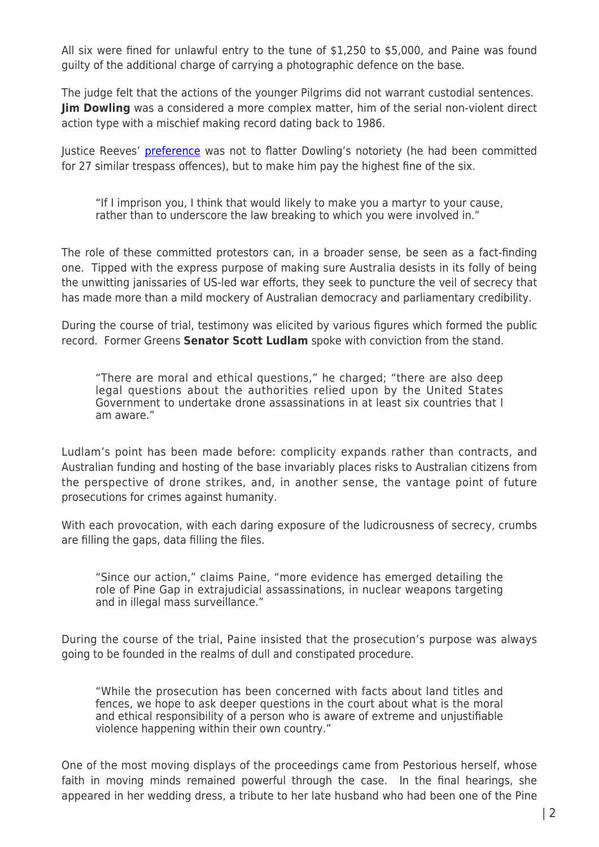All six were fined for unlawful entry to the tune of \$1,250 to \$5,000, and Paine was found guilty of the additional charge of carrying a photographic defence on the base.

The judge felt that the actions of the younger Pilgrims did not warrant custodial sentences. **Jim Dowling** was a considered a more complex matter, him of the serial non-violent direct action type with a mischief making record dating back to 1986.

Justice Reeves' [preference](http://www.alicespringsnews.com.au/2017/11/22/no-extraordinary-emergency-at-pine-gap-judge-rules/) was not to flatter Dowling's notoriety (he had been committed for 27 similar trespass offences), but to make him pay the highest fine of the six.

"If I imprison you, I think that would likely to make you a martyr to your cause, rather than to underscore the law breaking to which you were involved in."

The role of these committed protestors can, in a broader sense, be seen as a fact-finding one. Tipped with the express purpose of making sure Australia desists in its folly of being the unwitting janissaries of US-led war efforts, they seek to puncture the veil of secrecy that has made more than a mild mockery of Australian democracy and parliamentary credibility.

During the course of trial, testimony was elicited by various figures which formed the public record. Former Greens **Senator Scott Ludlam** spoke with conviction from the stand.

"There are moral and ethical questions," he charged; "there are also deep legal questions about the authorities relied upon by the United States Government to undertake drone assassinations in at least six countries that I am aware."

Ludlam's point has been made before: complicity expands rather than contracts, and Australian funding and hosting of the base invariably places risks to Australian citizens from the perspective of drone strikes, and, in another sense, the vantage point of future prosecutions for crimes against humanity.

With each provocation, with each daring exposure of the ludicrousness of secrecy, crumbs are filling the gaps, data filling the files.

"Since our action," claims Paine, "more evidence has emerged detailing the role of Pine Gap in extrajudicial assassinations, in nuclear weapons targeting and in illegal mass surveillance."

During the course of the trial, Paine insisted that the prosecution's purpose was always going to be founded in the realms of dull and constipated procedure.

"While the prosecution has been concerned with facts about land titles and fences, we hope to ask deeper questions in the court about what is the moral and ethical responsibility of a person who is aware of extreme and unjustifiable violence happening within their own country."

One of the most moving displays of the proceedings came from Pestorious herself, whose faith in moving minds remained powerful through the case. In the final hearings, she appeared in her wedding dress, a tribute to her late husband who had been one of the Pine